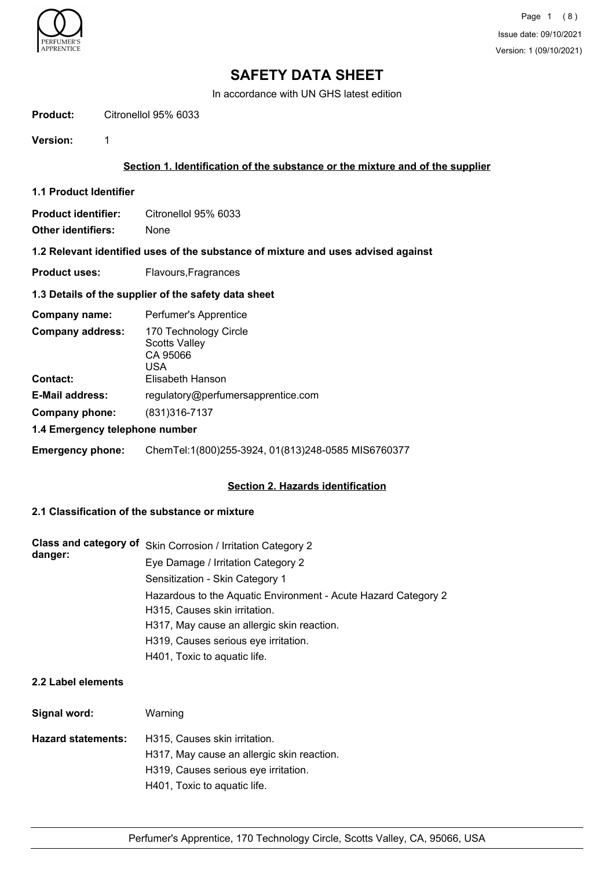

In accordance with UN GHS latest edition

| Product: | Citronellol 95% 6033 |  |
|----------|----------------------|--|
|          |                      |  |

**Version:** 1

## **Section 1. Identification of the substance or the mixture and of the supplier**

- **1.1 Product Identifier**
- **Product identifier:** Citronellol 95% 6033

**Other identifiers:** None

# **1.2 Relevant identified uses of the substance of mixture and uses advised against**

**Product uses:** Flavours, Fragrances

## **1.3 Details of the supplier of the safety data sheet**

| Company name:                  | Perfumer's Apprentice                                            |  |
|--------------------------------|------------------------------------------------------------------|--|
| <b>Company address:</b>        | 170 Technology Circle<br><b>Scotts Valley</b><br>CA 95066<br>USA |  |
| <b>Contact:</b>                | Elisabeth Hanson                                                 |  |
| <b>E-Mail address:</b>         | regulatory@perfumersapprentice.com                               |  |
| Company phone:                 | (831) 316-7137                                                   |  |
| 1.4 Emergency telephone number |                                                                  |  |

### **Emergency phone:** ChemTel:1(800)255-3924, 01(813)248-0585 MIS6760377

### **Section 2. Hazards identification**

# **2.1 Classification of the substance or mixture**

| Class and category of<br>danger: | Skin Corrosion / Irritation Category 2                         |
|----------------------------------|----------------------------------------------------------------|
|                                  | Eye Damage / Irritation Category 2                             |
|                                  | Sensitization - Skin Category 1                                |
|                                  | Hazardous to the Aquatic Environment - Acute Hazard Category 2 |
|                                  | H315, Causes skin irritation.                                  |
|                                  | H317, May cause an allergic skin reaction.                     |
|                                  | H319, Causes serious eye irritation.                           |
|                                  | H401, Toxic to aquatic life.                                   |

# **2.2 Label elements**

| Signal word:       | Warning                                    |
|--------------------|--------------------------------------------|
| Hazard statements: | H315, Causes skin irritation.              |
|                    | H317, May cause an allergic skin reaction. |
|                    | H319, Causes serious eye irritation.       |
|                    | H401, Toxic to aquatic life.               |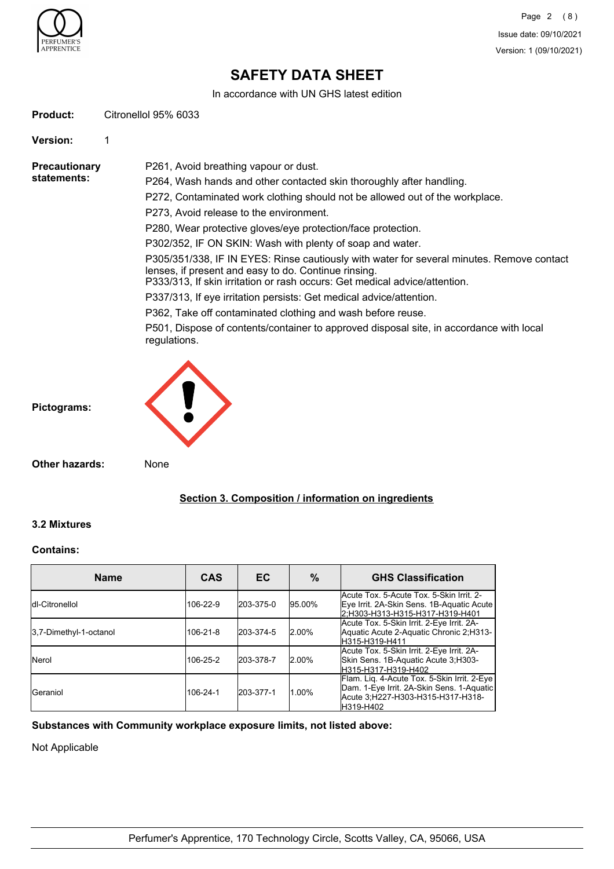

In accordance with UN GHS latest edition

| <b>Product:</b> | Citronellol 95% 6033 |  |
|-----------------|----------------------|--|
|                 |                      |  |

**Version:** 1

**Precautionary statements:**

P261, Avoid breathing vapour or dust. P264, Wash hands and other contacted skin thoroughly after handling.

P272, Contaminated work clothing should not be allowed out of the workplace.

P273, Avoid release to the environment.

P280, Wear protective gloves/eye protection/face protection.

P302/352, IF ON SKIN: Wash with plenty of soap and water.

P305/351/338, IF IN EYES: Rinse cautiously with water for several minutes. Remove contact lenses, if present and easy to do. Continue rinsing.

P333/313, If skin irritation or rash occurs: Get medical advice/attention.

P337/313, If eye irritation persists: Get medical advice/attention.

P362, Take off contaminated clothing and wash before reuse.

P501, Dispose of contents/container to approved disposal site, in accordance with local regulations.



**Pictograms:**

**Other hazards:** None

# **Section 3. Composition / information on ingredients**

### **3.2 Mixtures**

#### **Contains:**

| <b>Name</b>            | <b>CAS</b> | EC.       | %         | <b>GHS Classification</b>                                                                                                                  |
|------------------------|------------|-----------|-----------|--------------------------------------------------------------------------------------------------------------------------------------------|
| Idl-Citronellol        | 106-22-9   | 203-375-0 | 95.00%    | Acute Tox. 5-Acute Tox. 5-Skin Irrit. 2-<br>Eye Irrit. 2A-Skin Sens. 1B-Aquatic Acute<br>2:H303-H313-H315-H317-H319-H401                   |
| 3.7-Dimethyl-1-octanol | 106-21-8   | 203-374-5 | $12.00\%$ | Acute Tox. 5-Skin Irrit. 2-Eye Irrit. 2A-<br>Aquatic Acute 2-Aquatic Chronic 2;H313-<br>H315-H319-H411                                     |
| <b>Nerol</b>           | 106-25-2   | 203-378-7 | 2.00%     | Acute Tox. 5-Skin Irrit. 2-Eye Irrit. 2A-<br>Skin Sens. 1B-Aquatic Acute 3;H303-<br>H315-H317-H319-H402                                    |
| <b>I</b> Geraniol      | 106-24-1   | 203-377-1 | 1.00%     | Flam. Liq. 4-Acute Tox. 5-Skin Irrit. 2-Eye<br>Dam. 1-Eye Irrit. 2A-Skin Sens. 1-Aquatic<br>Acute 3:H227-H303-H315-H317-H318-<br>H319-H402 |

### **Substances with Community workplace exposure limits, not listed above:**

Not Applicable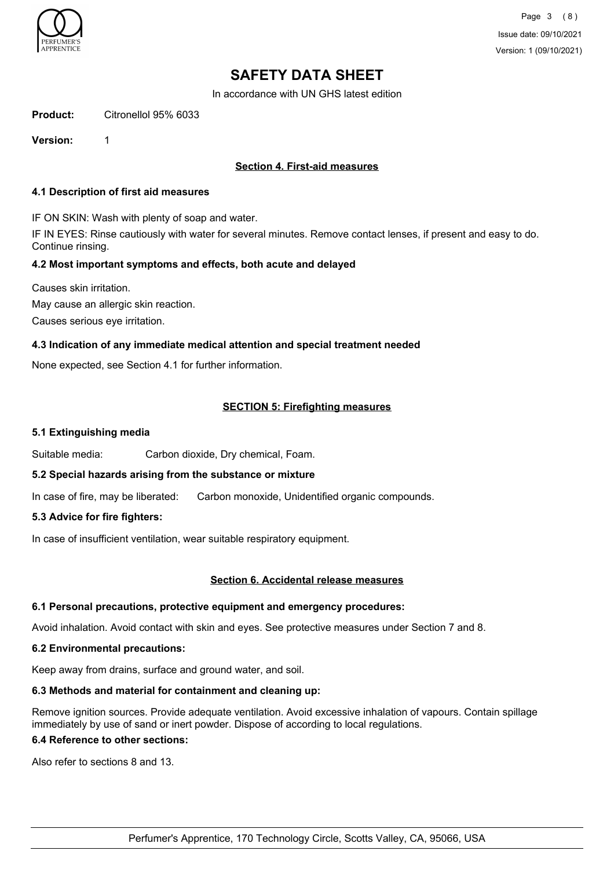

In accordance with UN GHS latest edition

| <b>Product:</b> | Citronellol 95% 6033 |  |
|-----------------|----------------------|--|
|                 |                      |  |

**Version:** 1

## **Section 4. First-aid measures**

#### **4.1 Description of first aid measures**

IF ON SKIN: Wash with plenty of soap and water.

IF IN EYES: Rinse cautiously with water for several minutes. Remove contact lenses, if present and easy to do. Continue rinsing.

# **4.2 Most important symptoms and effects, both acute and delayed**

Causes skin irritation. May cause an allergic skin reaction.

Causes serious eye irritation.

### **4.3 Indication of any immediate medical attention and special treatment needed**

None expected, see Section 4.1 for further information.

# **SECTION 5: Firefighting measures**

#### **5.1 Extinguishing media**

Suitable media: Carbon dioxide, Dry chemical, Foam.

### **5.2 Special hazards arising from the substance or mixture**

In case of fire, may be liberated: Carbon monoxide, Unidentified organic compounds.

### **5.3 Advice for fire fighters:**

In case of insufficient ventilation, wear suitable respiratory equipment.

#### **Section 6. Accidental release measures**

### **6.1 Personal precautions, protective equipment and emergency procedures:**

Avoid inhalation. Avoid contact with skin and eyes. See protective measures under Section 7 and 8.

#### **6.2 Environmental precautions:**

Keep away from drains, surface and ground water, and soil.

### **6.3 Methods and material for containment and cleaning up:**

Remove ignition sources. Provide adequate ventilation. Avoid excessive inhalation of vapours. Contain spillage immediately by use of sand or inert powder. Dispose of according to local regulations.

### **6.4 Reference to other sections:**

Also refer to sections 8 and 13.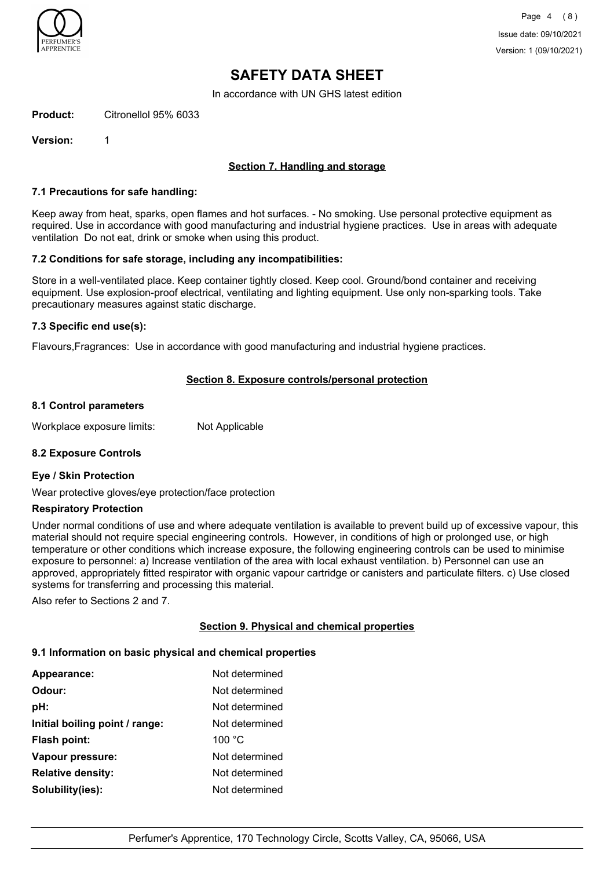

In accordance with UN GHS latest edition

**Product:** Citronellol 95% 6033

**Version:** 1

# **Section 7. Handling and storage**

#### **7.1 Precautions for safe handling:**

Keep away from heat, sparks, open flames and hot surfaces. - No smoking. Use personal protective equipment as required. Use in accordance with good manufacturing and industrial hygiene practices. Use in areas with adequate ventilation Do not eat, drink or smoke when using this product.

#### **7.2 Conditions for safe storage, including any incompatibilities:**

Store in a well-ventilated place. Keep container tightly closed. Keep cool. Ground/bond container and receiving equipment. Use explosion-proof electrical, ventilating and lighting equipment. Use only non-sparking tools. Take precautionary measures against static discharge.

#### **7.3 Specific end use(s):**

Flavours,Fragrances: Use in accordance with good manufacturing and industrial hygiene practices.

### **Section 8. Exposure controls/personal protection**

#### **8.1 Control parameters**

Workplace exposure limits: Not Applicable

### **8.2 Exposure Controls**

#### **Eye / Skin Protection**

Wear protective gloves/eye protection/face protection

#### **Respiratory Protection**

Under normal conditions of use and where adequate ventilation is available to prevent build up of excessive vapour, this material should not require special engineering controls. However, in conditions of high or prolonged use, or high temperature or other conditions which increase exposure, the following engineering controls can be used to minimise exposure to personnel: a) Increase ventilation of the area with local exhaust ventilation. b) Personnel can use an approved, appropriately fitted respirator with organic vapour cartridge or canisters and particulate filters. c) Use closed systems for transferring and processing this material.

Also refer to Sections 2 and 7.

### **Section 9. Physical and chemical properties**

#### **9.1 Information on basic physical and chemical properties**

| Appearance:                    | Not determined |
|--------------------------------|----------------|
| Odour:                         | Not determined |
| pH:                            | Not determined |
| Initial boiling point / range: | Not determined |
| <b>Flash point:</b>            | 100 °C         |
| Vapour pressure:               | Not determined |
| <b>Relative density:</b>       | Not determined |
| Solubility(ies):               | Not determined |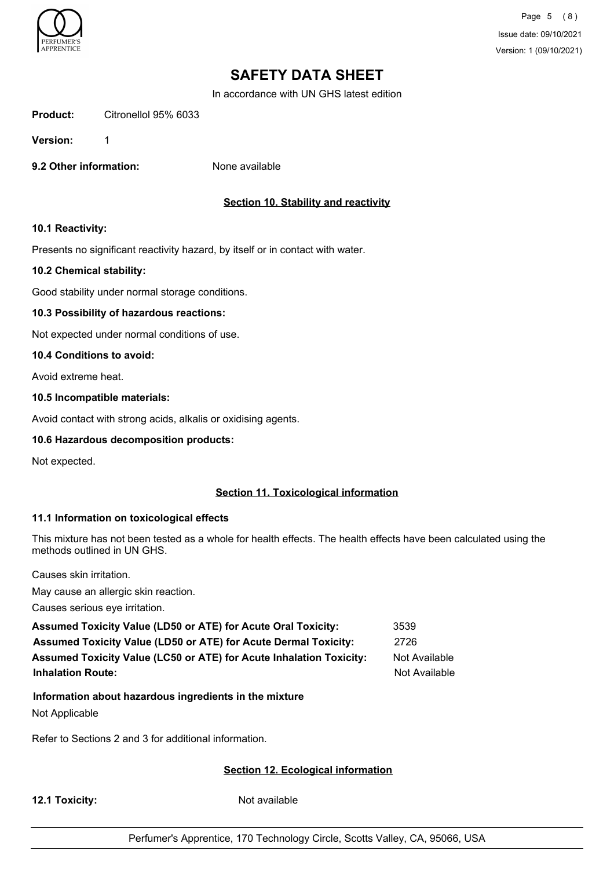

Page 5 (8) Issue date: 09/10/2021 Version: 1 (09/10/2021)

# **SAFETY DATA SHEET**

In accordance with UN GHS latest edition

**Product:** Citronellol 95% 6033

**Version:** 1

**9.2 Other information:** None available

# **Section 10. Stability and reactivity**

### **10.1 Reactivity:**

Presents no significant reactivity hazard, by itself or in contact with water.

#### **10.2 Chemical stability:**

Good stability under normal storage conditions.

### **10.3 Possibility of hazardous reactions:**

Not expected under normal conditions of use.

#### **10.4 Conditions to avoid:**

Avoid extreme heat.

#### **10.5 Incompatible materials:**

Avoid contact with strong acids, alkalis or oxidising agents.

#### **10.6 Hazardous decomposition products:**

Not expected.

# **Section 11. Toxicological information**

### **11.1 Information on toxicological effects**

This mixture has not been tested as a whole for health effects. The health effects have been calculated using the methods outlined in UN GHS.

Causes skin irritation.

May cause an allergic skin reaction.

Causes serious eye irritation.

| <b>Assumed Toxicity Value (LD50 or ATE) for Acute Oral Toxicity:</b>       | 3539          |
|----------------------------------------------------------------------------|---------------|
| <b>Assumed Toxicity Value (LD50 or ATE) for Acute Dermal Toxicity:</b>     | 2726          |
| <b>Assumed Toxicity Value (LC50 or ATE) for Acute Inhalation Toxicity:</b> | Not Available |
| <b>Inhalation Route:</b>                                                   | Not Available |

# **Information about hazardous ingredients in the mixture**

Not Applicable

Refer to Sections 2 and 3 for additional information.

### **Section 12. Ecological information**

**12.1 Toxicity:** Not available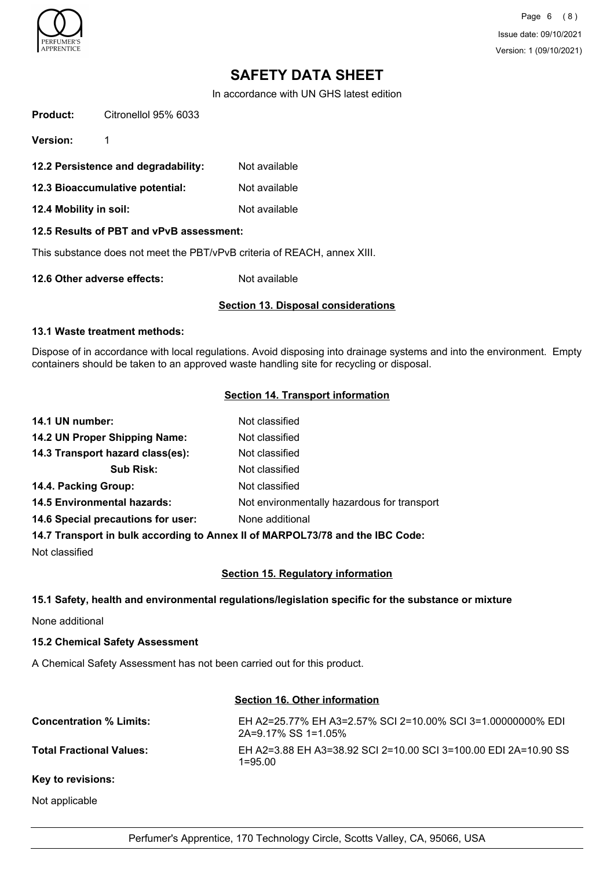

Page 6 (8) Issue date: 09/10/2021 Version: 1 (09/10/2021)

# **SAFETY DATA SHEET**

In accordance with UN GHS latest edition

| <b>Product:</b>                                                          | Citronellol 95% 6033                |               |
|--------------------------------------------------------------------------|-------------------------------------|---------------|
| <b>Version:</b>                                                          | 1                                   |               |
|                                                                          | 12.2 Persistence and degradability: | Not available |
| 12.3 Bioaccumulative potential:                                          |                                     | Not available |
| 12.4 Mobility in soil:                                                   |                                     | Not available |
| 12.5 Results of PBT and vPvB assessment:                                 |                                     |               |
| This substance does not meet the PBT/vPvB criteria of REACH, annex XIII. |                                     |               |
| 12.6 Other adverse effects:<br>Not available                             |                                     |               |

# **Section 13. Disposal considerations**

#### **13.1 Waste treatment methods:**

Dispose of in accordance with local regulations. Avoid disposing into drainage systems and into the environment. Empty containers should be taken to an approved waste handling site for recycling or disposal.

### **Section 14. Transport information**

| 14.1 UN number:                    | Not classified                                                                 |
|------------------------------------|--------------------------------------------------------------------------------|
| 14.2 UN Proper Shipping Name:      | Not classified                                                                 |
| 14.3 Transport hazard class(es):   | Not classified                                                                 |
| <b>Sub Risk:</b>                   | Not classified                                                                 |
| 14.4. Packing Group:               | Not classified                                                                 |
| <b>14.5 Environmental hazards:</b> | Not environmentally hazardous for transport                                    |
| 14.6 Special precautions for user: | None additional                                                                |
|                                    | 117 Transport in bully according to Anney II of MADDOI 72/70 and the IDC Cader |

**14.7 Transport in bulk according to Annex II of MARPOL73/78 and the IBC Code:**

Not classified

### **Section 15. Regulatory information**

### **15.1 Safety, health and environmental regulations/legislation specific for the substance or mixture**

None additional

### **15.2 Chemical Safety Assessment**

A Chemical Safety Assessment has not been carried out for this product.

### **Section 16. Other information**

| <b>Concentration % Limits:</b>  | EH A2=25.77% EH A3=2.57% SCI 2=10.00% SCI 3=1.00000000% EDI<br>$2A=9.17\%$ SS 1=1.05% |
|---------------------------------|---------------------------------------------------------------------------------------|
| <b>Total Fractional Values:</b> | EH A2=3.88 EH A3=38.92 SCI 2=10.00 SCI 3=100.00 EDI 2A=10.90 SS<br>1=95.00.           |
|                                 |                                                                                       |

#### **Key to revisions:**

Not applicable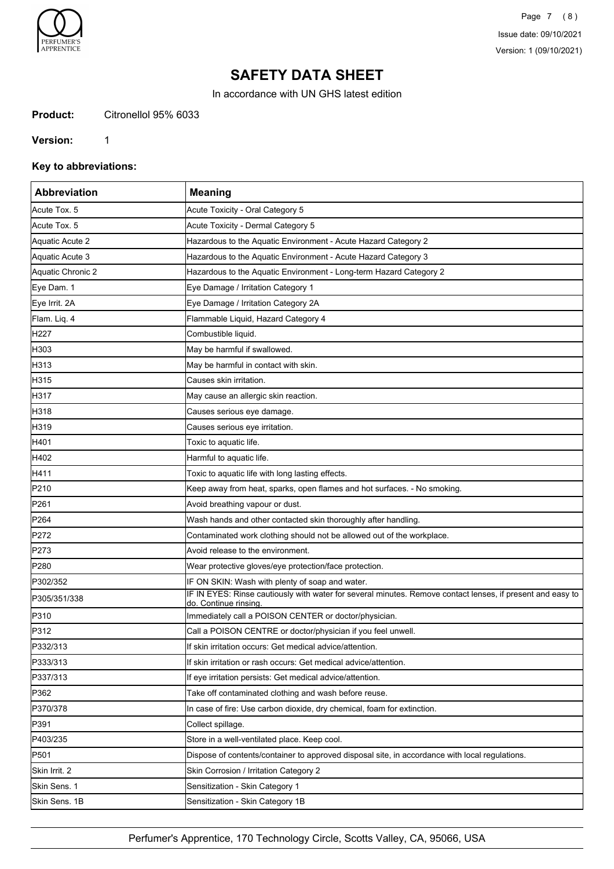

Page 7 (8) Issue date: 09/10/2021 Version: 1 (09/10/2021)

# **SAFETY DATA SHEET**

In accordance with UN GHS latest edition

**Product:** Citronellol 95% 6033

#### **Version:** 1

**Key to abbreviations:**

| Abbreviation      | <b>Meaning</b>                                                                                                                     |
|-------------------|------------------------------------------------------------------------------------------------------------------------------------|
| Acute Tox. 5      | Acute Toxicity - Oral Category 5                                                                                                   |
| Acute Tox. 5      | Acute Toxicity - Dermal Category 5                                                                                                 |
| Aquatic Acute 2   | Hazardous to the Aquatic Environment - Acute Hazard Category 2                                                                     |
| Aquatic Acute 3   | Hazardous to the Aquatic Environment - Acute Hazard Category 3                                                                     |
| Aquatic Chronic 2 | Hazardous to the Aquatic Environment - Long-term Hazard Category 2                                                                 |
| Eye Dam. 1        | Eye Damage / Irritation Category 1                                                                                                 |
| Eye Irrit. 2A     | Eye Damage / Irritation Category 2A                                                                                                |
| Flam. Liq. 4      | Flammable Liquid, Hazard Category 4                                                                                                |
| H <sub>227</sub>  | Combustible liquid.                                                                                                                |
| H303              | May be harmful if swallowed.                                                                                                       |
| H313              | May be harmful in contact with skin.                                                                                               |
| H315              | Causes skin irritation.                                                                                                            |
| H317              | May cause an allergic skin reaction.                                                                                               |
| H318              | Causes serious eye damage.                                                                                                         |
| H319              | Causes serious eye irritation.                                                                                                     |
| H401              | Toxic to aquatic life.                                                                                                             |
| H402              | Harmful to aquatic life.                                                                                                           |
| H411              | Toxic to aquatic life with long lasting effects.                                                                                   |
| P210              | Keep away from heat, sparks, open flames and hot surfaces. - No smoking.                                                           |
| P261              | Avoid breathing vapour or dust.                                                                                                    |
| P <sub>264</sub>  | Wash hands and other contacted skin thoroughly after handling.                                                                     |
| P272              | Contaminated work clothing should not be allowed out of the workplace.                                                             |
| P273              | Avoid release to the environment.                                                                                                  |
| P <sub>280</sub>  | Wear protective gloves/eye protection/face protection.                                                                             |
| P302/352          | IF ON SKIN: Wash with plenty of soap and water.                                                                                    |
| P305/351/338      | IF IN EYES: Rinse cautiously with water for several minutes. Remove contact lenses, if present and easy to<br>do. Continue rinsing |
| P310              | Immediately call a POISON CENTER or doctor/physician.                                                                              |
| P312              | Call a POISON CENTRE or doctor/physician if you feel unwell.                                                                       |
| P332/313          | If skin irritation occurs: Get medical advice/attention.                                                                           |
| P333/313          | If skin irritation or rash occurs: Get medical advice/attention.                                                                   |
| P337/313          | If eye irritation persists: Get medical advice/attention.                                                                          |
| P362              | Take off contaminated clothing and wash before reuse.                                                                              |
| P370/378          | In case of fire: Use carbon dioxide, dry chemical, foam for extinction.                                                            |
| P391              | Collect spillage.                                                                                                                  |
| P403/235          | Store in a well-ventilated place. Keep cool.                                                                                       |
| P501              | Dispose of contents/container to approved disposal site, in accordance with local regulations.                                     |
| Skin Irrit. 2     | Skin Corrosion / Irritation Category 2                                                                                             |
| Skin Sens. 1      | Sensitization - Skin Category 1                                                                                                    |
| Skin Sens. 1B     | Sensitization - Skin Category 1B                                                                                                   |